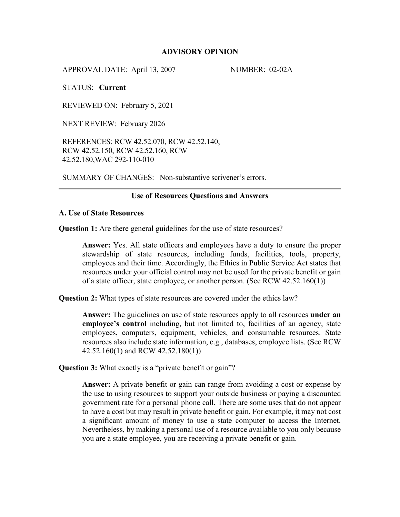# **ADVISORY OPINION**

APPROVAL DATE: April 13, 2007 NUMBER: 02-02A

STATUS: **Current**

REVIEWED ON: February 5, 2021

NEXT REVIEW: February 2026

REFERENCES: RCW 42.52.070, RCW 42.52.140, RCW 42.52.150, RCW 42.52.160, RCW 42.52.180,WAC 292-110-010

SUMMARY OF CHANGES: Non-substantive scrivener's errors.

### **Use of Resources Questions and Answers**

## **A. Use of State Resources**

**Question 1:** Are there general guidelines for the use of state resources?

**Answer:** Yes. All state officers and employees have a duty to ensure the proper stewardship of state resources, including funds, facilities, tools, property, employees and their time. Accordingly, the Ethics in Public Service Act states that resources under your official control may not be used for the private benefit or gain of a state officer, state employee, or another person. (See RCW 42.52.160(1))

**Question 2:** What types of state resources are covered under the ethics law?

**Answer:** The guidelines on use of state resources apply to all resources **under an employee's control** including, but not limited to, facilities of an agency, state employees, computers, equipment, vehicles, and consumable resources. State resources also include state information, e.g., databases, employee lists. (See RCW 42.52.160(1) and RCW 42.52.180(1))

**Question 3:** What exactly is a "private benefit or gain"?

**Answer:** A private benefit or gain can range from avoiding a cost or expense by the use to using resources to support your outside business or paying a discounted government rate for a personal phone call. There are some uses that do not appear to have a cost but may result in private benefit or gain. For example, it may not cost a significant amount of money to use a state computer to access the Internet. Nevertheless, by making a personal use of a resource available to you only because you are a state employee, you are receiving a private benefit or gain.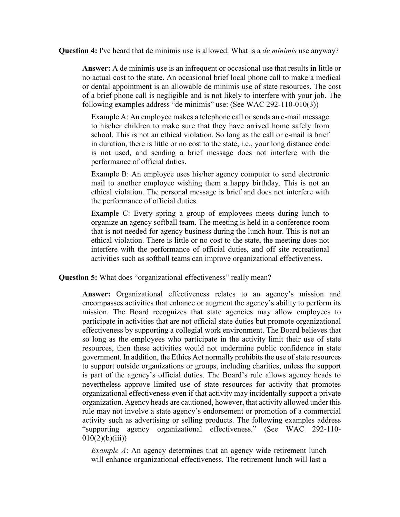**Question 4:** I've heard that de minimis use is allowed. What is a *de minimis* use anyway?

**Answer:** A de minimis use is an infrequent or occasional use that results in little or no actual cost to the state. An occasional brief local phone call to make a medical or dental appointment is an allowable de minimis use of state resources. The cost of a brief phone call is negligible and is not likely to interfere with your job. The following examples address "de minimis" use: (See WAC 292-110-010(3))

Example A: An employee makes a telephone call or sends an e-mail message to his/her children to make sure that they have arrived home safely from school. This is not an ethical violation. So long as the call or e-mail is brief in duration, there is little or no cost to the state, i.e., your long distance code is not used, and sending a brief message does not interfere with the performance of official duties.

Example B: An employee uses his/her agency computer to send electronic mail to another employee wishing them a happy birthday. This is not an ethical violation. The personal message is brief and does not interfere with the performance of official duties.

Example C: Every spring a group of employees meets during lunch to organize an agency softball team. The meeting is held in a conference room that is not needed for agency business during the lunch hour. This is not an ethical violation. There is little or no cost to the state, the meeting does not interfere with the performance of official duties, and off site recreational activities such as softball teams can improve organizational effectiveness.

**Question 5:** What does "organizational effectiveness" really mean?

**Answer:** Organizational effectiveness relates to an agency's mission and encompasses activities that enhance or augment the agency's ability to perform its mission. The Board recognizes that state agencies may allow employees to participate in activities that are not official state duties but promote organizational effectiveness by supporting a collegial work environment. The Board believes that so long as the employees who participate in the activity limit their use of state resources, then these activities would not undermine public confidence in state government. In addition, the Ethics Act normally prohibits the use of state resources to support outside organizations or groups, including charities, unless the support is part of the agency's official duties. The Board's rule allows agency heads to nevertheless approve limited use of state resources for activity that promotes organizational effectiveness even if that activity may incidentally support a private organization. Agency heads are cautioned, however, that activity allowed under this rule may not involve a state agency's endorsement or promotion of a commercial activity such as advertising or selling products. The following examples address "supporting agency organizational effectiveness." (See WAC 292-110-  $010(2)(b)(iii)$ 

*Example A*: An agency determines that an agency wide retirement lunch will enhance organizational effectiveness. The retirement lunch will last a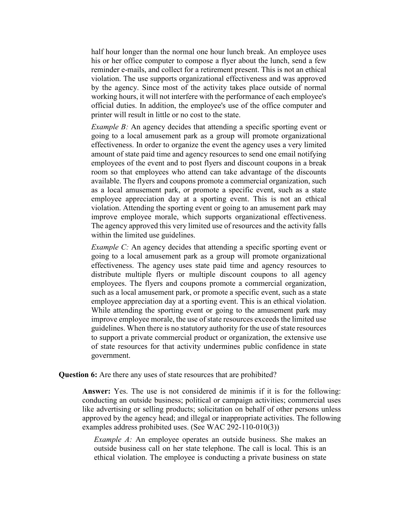half hour longer than the normal one hour lunch break. An employee uses his or her office computer to compose a flyer about the lunch, send a few reminder e-mails, and collect for a retirement present. This is not an ethical violation. The use supports organizational effectiveness and was approved by the agency. Since most of the activity takes place outside of normal working hours, it will not interfere with the performance of each employee's official duties. In addition, the employee's use of the office computer and printer will result in little or no cost to the state.

*Example B:* An agency decides that attending a specific sporting event or going to a local amusement park as a group will promote organizational effectiveness. In order to organize the event the agency uses a very limited amount of state paid time and agency resources to send one email notifying employees of the event and to post flyers and discount coupons in a break room so that employees who attend can take advantage of the discounts available. The flyers and coupons promote a commercial organization, such as a local amusement park, or promote a specific event, such as a state employee appreciation day at a sporting event. This is not an ethical violation. Attending the sporting event or going to an amusement park may improve employee morale, which supports organizational effectiveness. The agency approved this very limited use of resources and the activity falls within the limited use guidelines.

*Example C:* An agency decides that attending a specific sporting event or going to a local amusement park as a group will promote organizational effectiveness. The agency uses state paid time and agency resources to distribute multiple flyers or multiple discount coupons to all agency employees. The flyers and coupons promote a commercial organization, such as a local amusement park, or promote a specific event, such as a state employee appreciation day at a sporting event. This is an ethical violation. While attending the sporting event or going to the amusement park may improve employee morale, the use of state resources exceeds the limited use guidelines. When there is no statutory authority for the use of state resources to support a private commercial product or organization, the extensive use of state resources for that activity undermines public confidence in state government.

#### **Question 6:** Are there any uses of state resources that are prohibited?

**Answer:** Yes. The use is not considered de minimis if it is for the following: conducting an outside business; political or campaign activities; commercial uses like advertising or selling products; solicitation on behalf of other persons unless approved by the agency head; and illegal or inappropriate activities. The following examples address prohibited uses. (See WAC 292-110-010(3))

*Example A:* An employee operates an outside business. She makes an outside business call on her state telephone. The call is local. This is an ethical violation. The employee is conducting a private business on state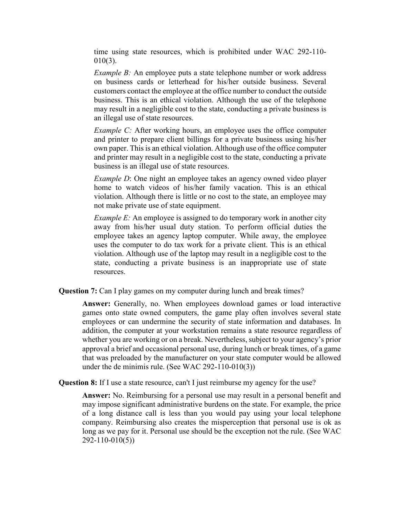time using state resources, which is prohibited under WAC 292-110- 010(3).

*Example B:* An employee puts a state telephone number or work address on business cards or letterhead for his/her outside business. Several customers contact the employee at the office number to conduct the outside business. This is an ethical violation. Although the use of the telephone may result in a negligible cost to the state, conducting a private business is an illegal use of state resources.

*Example C:* After working hours, an employee uses the office computer and printer to prepare client billings for a private business using his/her own paper. This is an ethical violation. Although use of the office computer and printer may result in a negligible cost to the state, conducting a private business is an illegal use of state resources.

*Example D*: One night an employee takes an agency owned video player home to watch videos of his/her family vacation. This is an ethical violation. Although there is little or no cost to the state, an employee may not make private use of state equipment.

*Example E:* An employee is assigned to do temporary work in another city away from his/her usual duty station. To perform official duties the employee takes an agency laptop computer. While away, the employee uses the computer to do tax work for a private client. This is an ethical violation. Although use of the laptop may result in a negligible cost to the state, conducting a private business is an inappropriate use of state resources.

**Question 7:** Can I play games on my computer during lunch and break times?

**Answer:** Generally, no. When employees download games or load interactive games onto state owned computers, the game play often involves several state employees or can undermine the security of state information and databases. In addition, the computer at your workstation remains a state resource regardless of whether you are working or on a break. Nevertheless, subject to your agency's prior approval a brief and occasional personal use, during lunch or break times, of a game that was preloaded by the manufacturer on your state computer would be allowed under the de minimis rule. (See WAC 292-110-010(3))

**Question 8:** If I use a state resource, can't I just reimburse my agency for the use?

**Answer:** No. Reimbursing for a personal use may result in a personal benefit and may impose significant administrative burdens on the state. For example, the price of a long distance call is less than you would pay using your local telephone company. Reimbursing also creates the misperception that personal use is ok as long as we pay for it. Personal use should be the exception not the rule. (See WAC 292-110-010(5))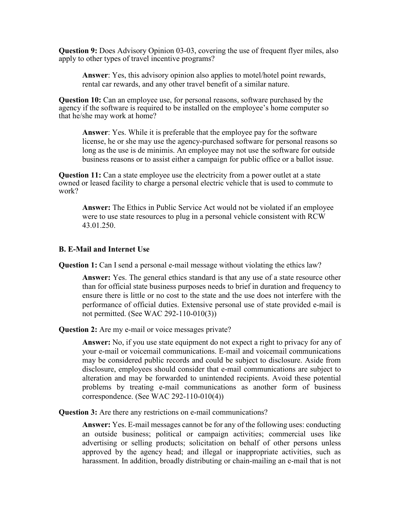**Question 9:** Does Advisory Opinion 03-03, covering the use of frequent flyer miles, also apply to other types of travel incentive programs?

**Answer**: Yes, this advisory opinion also applies to motel/hotel point rewards, rental car rewards, and any other travel benefit of a similar nature.

**Question 10:** Can an employee use, for personal reasons, software purchased by the agency if the software is required to be installed on the employee's home computer so that he/she may work at home?

**Answer**: Yes. While it is preferable that the employee pay for the software license, he or she may use the agency-purchased software for personal reasons so long as the use is de minimis. An employee may not use the software for outside business reasons or to assist either a campaign for public office or a ballot issue.

**Question 11:** Can a state employee use the electricity from a power outlet at a state owned or leased facility to charge a personal electric vehicle that is used to commute to work?

**Answer:** The Ethics in Public Service Act would not be violated if an employee were to use state resources to plug in a personal vehicle consistent with RCW 43.01.250.

# **B. E-Mail and Internet Use**

**Question 1:** Can I send a personal e-mail message without violating the ethics law?

**Answer:** Yes. The general ethics standard is that any use of a state resource other than for official state business purposes needs to brief in duration and frequency to ensure there is little or no cost to the state and the use does not interfere with the performance of official duties. Extensive personal use of state provided e-mail is not permitted. (See WAC 292-110-010(3))

**Question 2:** Are my e-mail or voice messages private?

**Answer:** No, if you use state equipment do not expect a right to privacy for any of your e-mail or voicemail communications. E-mail and voicemail communications may be considered public records and could be subject to disclosure. Aside from disclosure, employees should consider that e-mail communications are subject to alteration and may be forwarded to unintended recipients. Avoid these potential problems by treating e-mail communications as another form of business correspondence. (See WAC 292-110-010(4))

**Question 3:** Are there any restrictions on e-mail communications?

**Answer:** Yes. E-mail messages cannot be for any of the following uses: conducting an outside business; political or campaign activities; commercial uses like advertising or selling products; solicitation on behalf of other persons unless approved by the agency head; and illegal or inappropriate activities, such as harassment. In addition, broadly distributing or chain-mailing an e-mail that is not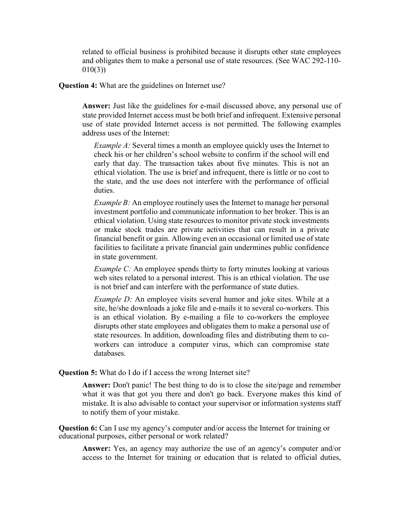related to official business is prohibited because it disrupts other state employees and obligates them to make a personal use of state resources. (See WAC 292-110- 010(3))

**Question 4:** What are the guidelines on Internet use?

**Answer:** Just like the guidelines for e-mail discussed above, any personal use of state provided Internet access must be both brief and infrequent. Extensive personal use of state provided Internet access is not permitted. The following examples address uses of the Internet:

*Example A:* Several times a month an employee quickly uses the Internet to check his or her children's school website to confirm if the school will end early that day. The transaction takes about five minutes. This is not an ethical violation. The use is brief and infrequent, there is little or no cost to the state, and the use does not interfere with the performance of official duties.

*Example B:* An employee routinely uses the Internet to manage her personal investment portfolio and communicate information to her broker. This is an ethical violation. Using state resources to monitor private stock investments or make stock trades are private activities that can result in a private financial benefit or gain. Allowing even an occasional or limited use of state facilities to facilitate a private financial gain undermines public confidence in state government.

*Example C:* An employee spends thirty to forty minutes looking at various web sites related to a personal interest. This is an ethical violation. The use is not brief and can interfere with the performance of state duties.

*Example D:* An employee visits several humor and joke sites. While at a site, he/she downloads a joke file and e-mails it to several co-workers. This is an ethical violation. By e-mailing a file to co-workers the employee disrupts other state employees and obligates them to make a personal use of state resources. In addition, downloading files and distributing them to coworkers can introduce a computer virus, which can compromise state databases.

**Question 5:** What do I do if I access the wrong Internet site?

**Answer:** Don't panic! The best thing to do is to close the site/page and remember what it was that got you there and don't go back. Everyone makes this kind of mistake. It is also advisable to contact your supervisor or information systems staff to notify them of your mistake.

**Question 6:** Can I use my agency's computer and/or access the Internet for training or educational purposes, either personal or work related?

**Answer:** Yes, an agency may authorize the use of an agency's computer and/or access to the Internet for training or education that is related to official duties,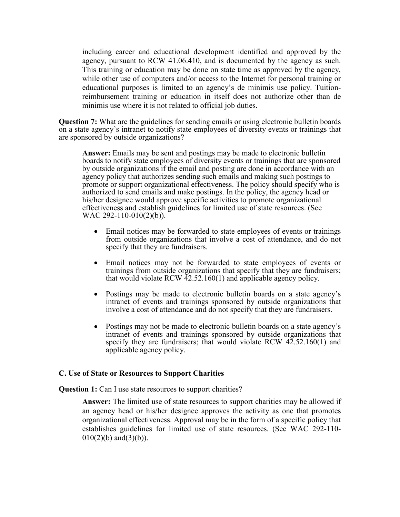including career and educational development identified and approved by the agency, pursuant to RCW 41.06.410, and is documented by the agency as such. This training or education may be done on state time as approved by the agency, while other use of computers and/or access to the Internet for personal training or educational purposes is limited to an agency's de minimis use policy. Tuitionreimbursement training or education in itself does not authorize other than de minimis use where it is not related to official job duties.

**Question 7:** What are the guidelines for sending emails or using electronic bulletin boards on a state agency's intranet to notify state employees of diversity events or trainings that are sponsored by outside organizations?

**Answer:** Emails may be sent and postings may be made to electronic bulletin boards to notify state employees of diversity events or trainings that are sponsored by outside organizations if the email and posting are done in accordance with an agency policy that authorizes sending such emails and making such postings to promote or support organizational effectiveness. The policy should specify who is authorized to send emails and make postings. In the policy, the agency head or his/her designee would approve specific activities to promote organizational effectiveness and establish guidelines for limited use of state resources. (See WAC 292-110-010(2)(b)).

- Email notices may be forwarded to state employees of events or trainings from outside organizations that involve a cost of attendance, and do not specify that they are fundraisers.
- Email notices may not be forwarded to state employees of events or trainings from outside organizations that specify that they are fundraisers; that would violate RCW 42.52.160(1) and applicable agency policy.
- Postings may be made to electronic bulletin boards on a state agency's intranet of events and trainings sponsored by outside organizations that involve a cost of attendance and do not specify that they are fundraisers.
- Postings may not be made to electronic bulletin boards on a state agency's intranet of events and trainings sponsored by outside organizations that specify they are fundraisers; that would violate RCW  $42.52.160(1)$  and applicable agency policy.

# **C. Use of State or Resources to Support Charities**

**Question 1:** Can I use state resources to support charities?

**Answer:** The limited use of state resources to support charities may be allowed if an agency head or his/her designee approves the activity as one that promotes organizational effectiveness. Approval may be in the form of a specific policy that establishes guidelines for limited use of state resources. (See WAC 292-110-  $010(2)(b)$  and  $(3)(b)$ ).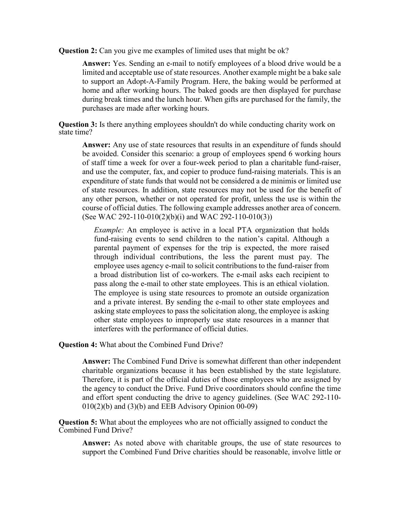**Question 2:** Can you give me examples of limited uses that might be ok?

**Answer:** Yes. Sending an e-mail to notify employees of a blood drive would be a limited and acceptable use of state resources. Another example might be a bake sale to support an Adopt-A-Family Program. Here, the baking would be performed at home and after working hours. The baked goods are then displayed for purchase during break times and the lunch hour. When gifts are purchased for the family, the purchases are made after working hours.

**Question 3:** Is there anything employees shouldn't do while conducting charity work on state time?

**Answer:** Any use of state resources that results in an expenditure of funds should be avoided. Consider this scenario: a group of employees spend 6 working hours of staff time a week for over a four-week period to plan a charitable fund-raiser, and use the computer, fax, and copier to produce fund-raising materials. This is an expenditure of state funds that would not be considered a de minimis or limited use of state resources. In addition, state resources may not be used for the benefit of any other person, whether or not operated for profit, unless the use is within the course of official duties. The following example addresses another area of concern. (See WAC 292-110-010(2)(b)(i) and WAC 292-110-010(3))

*Example:* An employee is active in a local PTA organization that holds fund-raising events to send children to the nation's capital. Although a parental payment of expenses for the trip is expected, the more raised through individual contributions, the less the parent must pay. The employee uses agency e-mail to solicit contributions to the fund-raiser from a broad distribution list of co-workers. The e-mail asks each recipient to pass along the e-mail to other state employees. This is an ethical violation. The employee is using state resources to promote an outside organization and a private interest. By sending the e-mail to other state employees and asking state employees to pass the solicitation along, the employee is asking other state employees to improperly use state resources in a manner that interferes with the performance of official duties.

**Question 4:** What about the Combined Fund Drive?

**Answer:** The Combined Fund Drive is somewhat different than other independent charitable organizations because it has been established by the state legislature. Therefore, it is part of the official duties of those employees who are assigned by the agency to conduct the Drive. Fund Drive coordinators should confine the time and effort spent conducting the drive to agency guidelines. (See WAC 292-110-  $010(2)(b)$  and  $(3)(b)$  and EEB Advisory Opinion  $00-09$ )

**Question 5:** What about the employees who are not officially assigned to conduct the Combined Fund Drive?

**Answer:** As noted above with charitable groups, the use of state resources to support the Combined Fund Drive charities should be reasonable, involve little or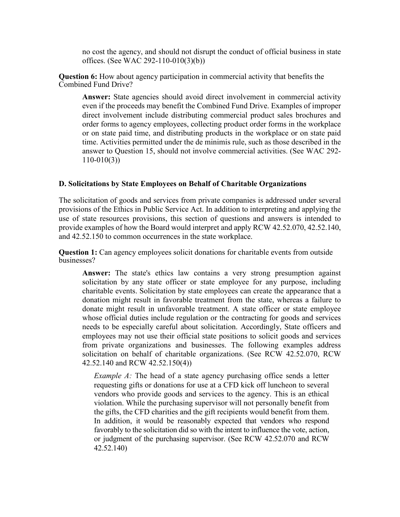no cost the agency, and should not disrupt the conduct of official business in state offices. (See WAC 292-110-010(3)(b))

**Question 6:** How about agency participation in commercial activity that benefits the Combined Fund Drive?

**Answer:** State agencies should avoid direct involvement in commercial activity even if the proceeds may benefit the Combined Fund Drive. Examples of improper direct involvement include distributing commercial product sales brochures and order forms to agency employees, collecting product order forms in the workplace or on state paid time, and distributing products in the workplace or on state paid time. Activities permitted under the de minimis rule, such as those described in the answer to Question 15, should not involve commercial activities. (See WAC 292-  $110-010(3)$ 

# **D. Solicitations by State Employees on Behalf of Charitable Organizations**

The solicitation of goods and services from private companies is addressed under several provisions of the Ethics in Public Service Act. In addition to interpreting and applying the use of state resources provisions, this section of questions and answers is intended to provide examples of how the Board would interpret and apply RCW 42.52.070, 42.52.140, and 42.52.150 to common occurrences in the state workplace.

**Question 1:** Can agency employees solicit donations for charitable events from outside businesses?

**Answer:** The state's ethics law contains a very strong presumption against solicitation by any state officer or state employee for any purpose, including charitable events. Solicitation by state employees can create the appearance that a donation might result in favorable treatment from the state, whereas a failure to donate might result in unfavorable treatment. A state officer or state employee whose official duties include regulation or the contracting for goods and services needs to be especially careful about solicitation. Accordingly, State officers and employees may not use their official state positions to solicit goods and services from private organizations and businesses. The following examples address solicitation on behalf of charitable organizations. (See RCW 42.52.070, RCW 42.52.140 and RCW 42.52.150(4))

*Example A:* The head of a state agency purchasing office sends a letter requesting gifts or donations for use at a CFD kick off luncheon to several vendors who provide goods and services to the agency. This is an ethical violation. While the purchasing supervisor will not personally benefit from the gifts, the CFD charities and the gift recipients would benefit from them. In addition, it would be reasonably expected that vendors who respond favorably to the solicitation did so with the intent to influence the vote, action, or judgment of the purchasing supervisor. (See RCW 42.52.070 and RCW 42.52.140)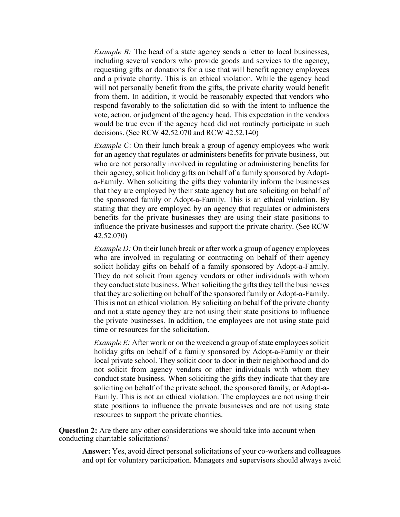*Example B:* The head of a state agency sends a letter to local businesses, including several vendors who provide goods and services to the agency, requesting gifts or donations for a use that will benefit agency employees and a private charity. This is an ethical violation. While the agency head will not personally benefit from the gifts, the private charity would benefit from them. In addition, it would be reasonably expected that vendors who respond favorably to the solicitation did so with the intent to influence the vote, action, or judgment of the agency head. This expectation in the vendors would be true even if the agency head did not routinely participate in such decisions. (See RCW 42.52.070 and RCW 42.52.140)

*Example C*: On their lunch break a group of agency employees who work for an agency that regulates or administers benefits for private business, but who are not personally involved in regulating or administering benefits for their agency, solicit holiday gifts on behalf of a family sponsored by Adopta-Family. When soliciting the gifts they voluntarily inform the businesses that they are employed by their state agency but are soliciting on behalf of the sponsored family or Adopt-a-Family. This is an ethical violation. By stating that they are employed by an agency that regulates or administers benefits for the private businesses they are using their state positions to influence the private businesses and support the private charity. (See RCW 42.52.070)

*Example D:* On their lunch break or after work a group of agency employees who are involved in regulating or contracting on behalf of their agency solicit holiday gifts on behalf of a family sponsored by Adopt-a-Family. They do not solicit from agency vendors or other individuals with whom they conduct state business. When soliciting the gifts they tell the businesses that they are soliciting on behalf of the sponsored family or Adopt-a-Family. This is not an ethical violation. By soliciting on behalf of the private charity and not a state agency they are not using their state positions to influence the private businesses. In addition, the employees are not using state paid time or resources for the solicitation.

*Example E:* After work or on the weekend a group of state employees solicit holiday gifts on behalf of a family sponsored by Adopt-a-Family or their local private school. They solicit door to door in their neighborhood and do not solicit from agency vendors or other individuals with whom they conduct state business. When soliciting the gifts they indicate that they are soliciting on behalf of the private school, the sponsored family, or Adopt-a-Family. This is not an ethical violation. The employees are not using their state positions to influence the private businesses and are not using state resources to support the private charities.

**Question 2:** Are there any other considerations we should take into account when conducting charitable solicitations?

**Answer:** Yes, avoid direct personal solicitations of your co-workers and colleagues and opt for voluntary participation. Managers and supervisors should always avoid